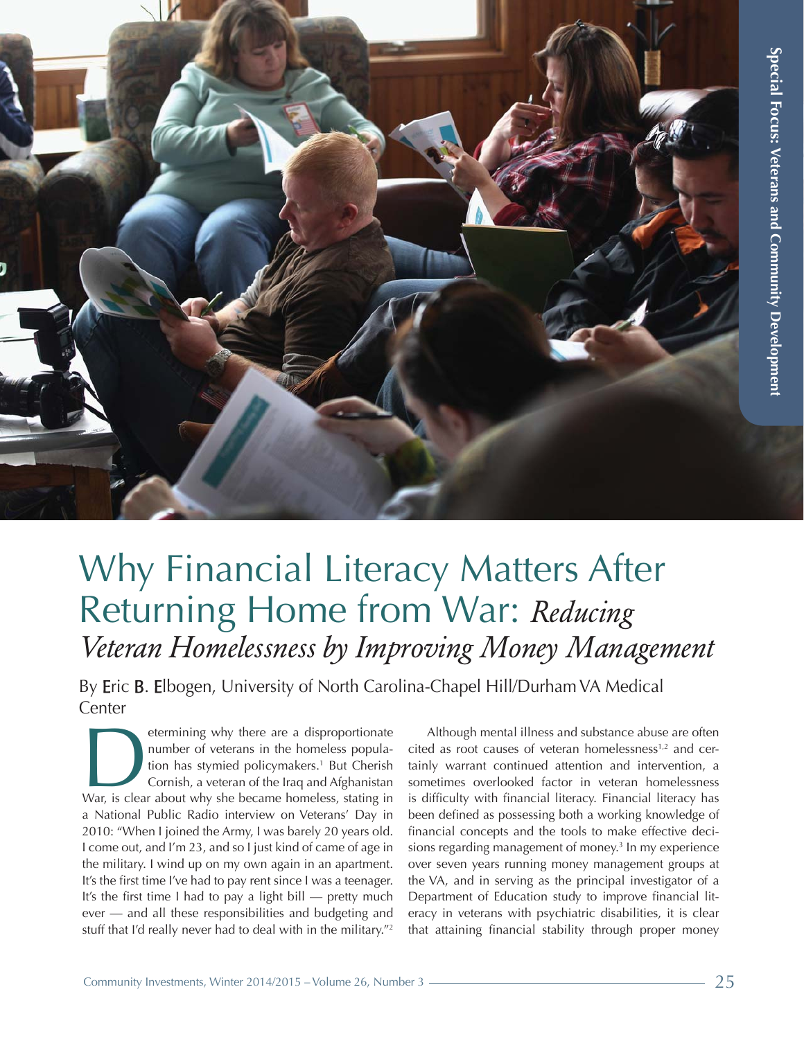

## Why Financial Literacy Matters After Returning Home from War: *Reducing Veteran Homelessness by Improving Money Management*

By **E**ric B. **E**lbogen, University of North Carolina-Chapel Hill/Durham VA Medical Center

etermining why there are a disproportionate number of veterans in the homeless population has stymied policymakers.<sup>1</sup> But Cherish Cornish, a veteran of the Iraq and Afghanistan War, is clear about why she became homeless, number of veterans in the homeless population has stymied policymakers.<sup>1</sup> But Cherish Cornish, a veteran of the Iraq and Afghanistan a National Public Radio interview on Veterans' Day in 2010: "When I joined the Army, I was barely 20 years old. I come out, and I'm 23, and so I just kind of came of age in the military. I wind up on my own again in an apartment. It's the first time I've had to pay rent since I was a teenager. It's the first time I had to pay a light bill — pretty much ever — and all these responsibilities and budgeting and stuff that I'd really never had to deal with in the military."<sup>2</sup>

Although mental illness and substance abuse are often cited as root causes of veteran homelessness<sup>1,2</sup> and certainly warrant continued attention and intervention, a sometimes overlooked factor in veteran homelessness is difficulty with financial literacy. Financial literacy has been defined as possessing both a working knowledge of financial concepts and the tools to make effective decisions regarding management of money.<sup>3</sup> In my experience over seven years running money management groups at the VA, and in serving as the principal investigator of a Department of Education study to improve financial literacy in veterans with psychiatric disabilities, it is clear that attaining financial stability through proper money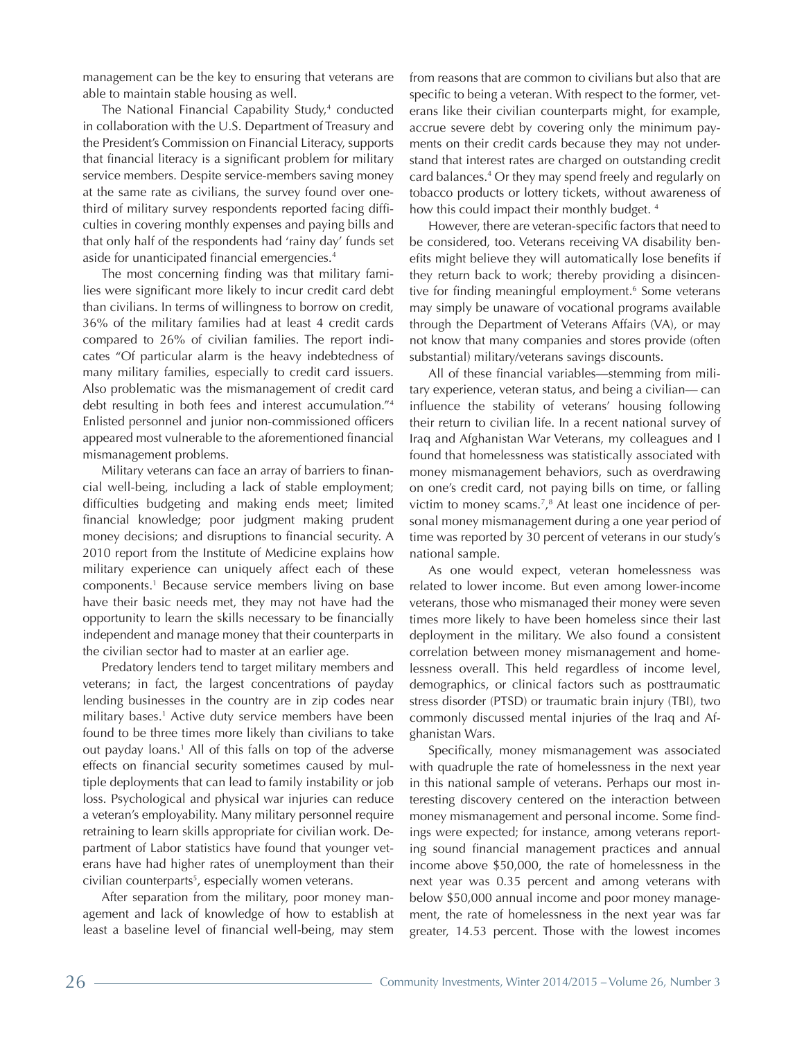management can be the key to ensuring that veterans are able to maintain stable housing as well.

The National Financial Capability Study, 4 conducted in collaboration with the U.S. Department of Treasury and the Presidenty Commission on Financial Literacy, supports that Xinancial literacy is a signiXicant problem for military service members. Despite service-members saving money at the same rate as civilians, the survey found over onethird of military survey respondents reported facing difficulties in covering monthly expenses and paying bills and that only half of the respondents had 'rainy day' funds set aside for unanticipated financial emergencies.<sup>4</sup>

The most concerning finding was that military families were significant more likely to incur credit card debt than civilians. In terms of willingness to borrow on credit, 36% of the military families had at least 4 credit cards compared to 26% of civilian families. The report indicates "Of particular alarm is the heavy indebtedness of many military families, especially to credit card issuers. Also problematic was the mismanagement of credit card debt resulting in both fees and interest accumulation."<sup>4</sup> Enlisted personnel and junior non-commissioned officers appeared most vulnerable to the aforementioned Xnancial mismanagement problems.

Military veterans can face an array of barriers to Jnancial well-being, including a lack of stable employment; diffculties budgeting and making ends meet; limited �GJnancial knowledge; poor judgment making prudent money decisions; and disruptions to financial security. A 2010 report from the Institute of Medicine explains how military experience can uniquely affect each of these components.<sup>1</sup> Because service members living on base have their basic needs met, they may not have had the opportunity to learn the skills necessary to be financially independent and manage money that their counterparts in the civilian sector had to master at an earlier age.

Predatory lenders tend to target military members and veterans; in fact, the largest concentrations of payday lending businesses in the country are in zip codes near military bases.<sup>1</sup> Active duty service members have been found to be three times more likely than civilians to take out payday loans.<sup>1</sup> All of this falls on top of the adverse effects on financial security sometimes caused by multiple deployments that can lead to family instability or job loss. Psychological and physical war injuries can reduce a veteran's employability. Many military personnel require retraining to learn skills appropriate for civilian work. Department of Labor statistics have found that younger veterans have had higher rates of unemployment than their civilian counterparts<sup>5</sup> , especially women veterans.

After separation from the military, poor money management and lack of knowledge of how to establish at least a baseline level of financial well-being, may stem

from reasons that are common to civilians but also that are specific to being a veteran. With respect to the former, veterans like their civilian counterparts might, for example, accrue severe debt by covering only the minimum payments on their credit cards because they may not understand that interest rates are charged on outstanding credit card balances.<sup>4</sup> Or they may spend freely and regularly on tobacco products or lottery tickets, without awareness of how this could impact their monthly budget. <sup>4</sup>

However, there are veteran-specific factors that need to be considered, too. Veterans receiving VA disability benefits might believe they will automatically lose benefits if they return back to work; thereby providing a disincentive for finding meaningful employment.<sup>6</sup> Some veterans may simply be unaware of vocational programs available through the Department of Veterans Affairs (VA), or may not know that many companies and stores provide (often substantial) military/veterans savings discounts.

All of these financial variables—stemming from military experience, veteran status, and being a civilian— can influence the stability of veterans' housing following their return to civilian life. In a recent national survey of Iraq and Afghanistan War Veterans, my colleagues and I found that homelessness was statistically associated with money mismanagement behaviors, such as overdrawing on one's credit card, not paying bills on time, or falling victim to money scams.<sup>7</sup> , 8 At least one incidence of personal money mismanagement during a one year period of time was reported by 30 percent of veterans in our study's national sample.

As one would expect, veteran homelessness was related to lower income. But even among lower-income veterans, those who mismanaged their money were seven times more likely to have been homeless since their last deployment in the military. We also found a consistent correlation between money mismanagement and homelessness overall. This held regardless of income level, demographics, or clinical factors such as posttraumatic stress disorder (PTSD) or traumatic brain injury (TBI), two commonly discussed mental injuries of the Iraq and Afghanistan Wars.

Specifically, money mismanagement was associated with quadruple the rate of homelessness in the next year in this national sample of veterans. Perhaps our most interesting discovery centered on the interaction between money mismanagement and personal income. Some findings were expected; for instance, among veterans reporting sound financial management practices and annual income above \$50,000, the rate of homelessness in the next year was 0.35 percent and among veterans with below \$50,000 annual income and poor money management, the rate of homelessness in the next year was far greater, 14.53 percent. Those with the lowest incomes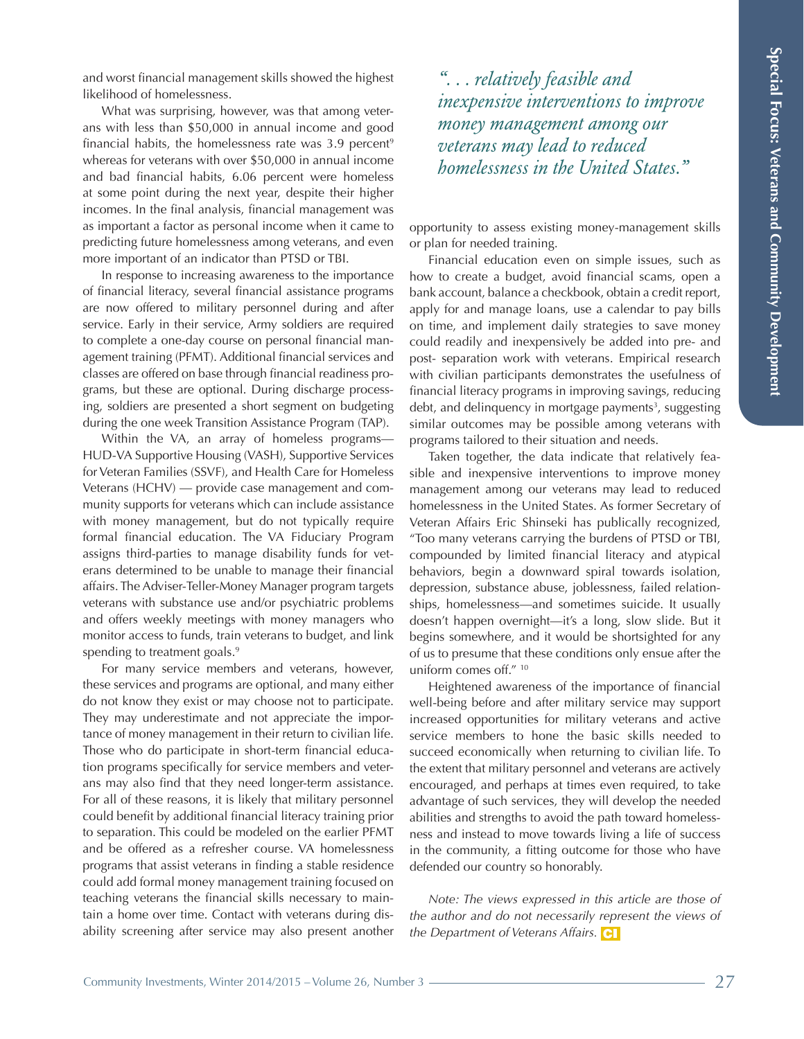and worst financial management skills showed the highest likelihood of homelessness.

What was surprising, however, was that among veterans with less than \$50,000 in annual income and good financial habits, the homelessness rate was  $3.9$  percent<sup>9</sup> whereas for veterans with over \$50,000 in annual income and bad financial habits, 6.06 percent were homeless at some point during the next year, despite their higher incomes. In the final analysis, financial management was as important a factor as personal income when it came to predicting future homelessness among veterans, and even more important of an indicator than PTSD or TBI.

In response to increasing awareness to the importance of financial literacy, several financial assistance programs are now offered to military personnel during and after service. Early in their service, Army soldiers are required to complete a one-day course on personal financial management training (PFMT). Additional financial services and classes are offered on base through financial readiness programs, but these are optional. During discharge process-ing, soldiers are presented a short segment on budgeting during the one week Transition Assistance Program (TAP).

Within the VA, an array of homeless programs— HUD-VA Supportive Housing (VASH), Supportive Services for Veteran Families (SSVF), and Health Care for Homeless Veterans (HCHV) — provide case management and com-munity supports for veterans which can include assistance with money management, but do not typically require formal financial education. The VA Fiduciary Program assigns third-parties to manage disability funds for vet-erans determined to be unable to manage their financial affairs. The Adviser-Teller-Money Manager program targets veterans with substance use and/or psychiatric problems and offers weekly meetings with money managers who monitor access to funds, train veterans to budget, and link spending to treatment goals.<sup>9</sup>

For many service members and veterans, however, these services and programs are optional, and many either do not know they exist or may choose not to participate. They may underestimate and not appreciate the impor-tance of money management in their return to civilian life. Those who do participate in short-term financial educa-tion programs specifically for service members and veterans may also find that they need longer-term assistance. For all of these reasons, it is likely that military personnel could benefit by additional financial literacy training prior to separation. This could be modeled on the earlier PFMT and be offered as a refresher course. VA homelessness programs that assist veterans in finding a stable residence could add formal money management training focused on teaching veterans the financial skills necessary to main-tain a home over time. Contact with veterans during dis-ability screening after service may also present another

*". . . relatively feasible and inexpensive interventions to improve money management among our veterans may lead to reduced homelessness in the United States."* 

opportunity to assess existing money-management skills or plan for needed training.

Financial education even on simple issues, such as how to create a budget, avoid financial scams, open a bank account, balance a checkbook, obtain a credit report, apply for and manage loans, use a calendar to pay bills on time, and implement daily strategies to save money could readily and inexpensively be added into pre- and post- separation work with veterans. Empirical research with civilian participants demonstrates the usefulness of financial literacy programs in improving savings, reducing debt, and delinquency in mortgage payments<sup>3</sup>, suggesting similar outcomes may be possible among veterans with programs tailored to their situation and needs.

Taken together, the data indicate that relatively feasible and inexpensive interventions to improve money management among our veterans may lead to reduced homelessness in the United States. As former Secretary of Veteran Affairs Eric Shinseki has publically recognized, "Too many veterans carrying the burdens of PTSD or TBI, compounded by limited financial literacy and atypical behaviors, begin a downward spiral towards isolation, depression, substance abuse, joblessness, failed relationships, homelessness—and sometimes suicide. It usually doesn't happen overnight—it's a long, slow slide. But it begins somewhere, and it would be shortsighted for any of us to presume that these conditions only ensue after the uniform comes off." <sup>10</sup>

Heightened awareness of the importance of financial well-being before and after military service may support increased opportunities for military veterans and active service members to hone the basic skills needed to succeed economically when returning to civilian life. To the extent that military personnel and veterans are actively encouraged, and perhaps at times even required, to take advantage of such services, they will develop the needed abilities and strengths to avoid the path toward homelessness and instead to move towards living a life of success in the community, a fitting outcome for those who have defended our country so honorably.

[3] *the Department of Veterans Affairs. Note: The views expressed in this article are those of the author and do not necessarily represent the views of*